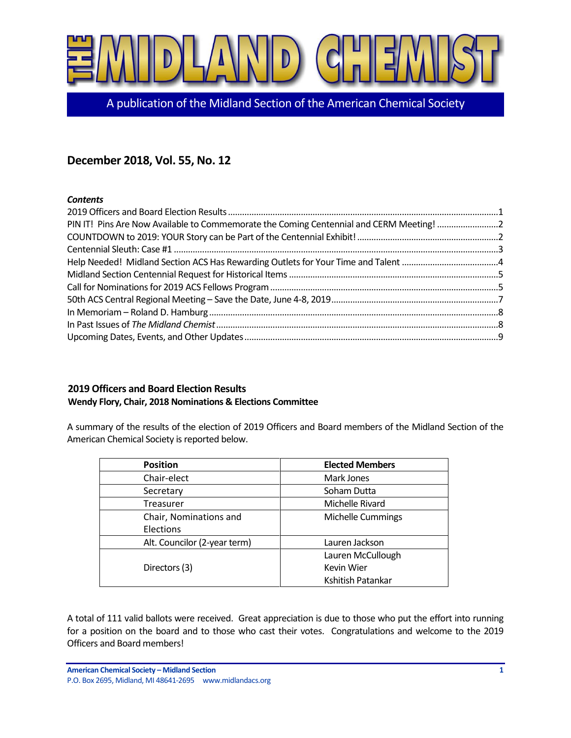

A publication of the Midland Section of the American Chemical Society

## **December 2018, Vol. 55, No. 12**

#### *Contents*

| PIN IT! Pins Are Now Available to Commemorate the Coming Centennial and CERM Meeting! 2 |  |
|-----------------------------------------------------------------------------------------|--|
|                                                                                         |  |
|                                                                                         |  |
|                                                                                         |  |
|                                                                                         |  |
|                                                                                         |  |
|                                                                                         |  |
|                                                                                         |  |
|                                                                                         |  |
|                                                                                         |  |

## <span id="page-0-0"></span>**2019 Officers and Board Election Results Wendy Flory, Chair, 2018 Nominations & Elections Committee**

A summary of the results of the election of 2019 Officers and Board members of the Midland Section of the American Chemical Society is reported below.

| <b>Position</b>              | <b>Elected Members</b> |
|------------------------------|------------------------|
| Chair-elect                  | Mark Jones             |
| Secretary                    | Soham Dutta            |
| Treasurer                    | Michelle Rivard        |
| Chair, Nominations and       | Michelle Cummings      |
| <b>Elections</b>             |                        |
| Alt. Councilor (2-year term) | Lauren Jackson         |
|                              | Lauren McCullough      |
| Directors (3)                | Kevin Wier             |
|                              | Kshitish Patankar      |

A total of 111 valid ballots were received. Great appreciation is due to those who put the effort into running for a position on the board and to those who cast their votes. Congratulations and welcome to the 2019 Officers and Board members!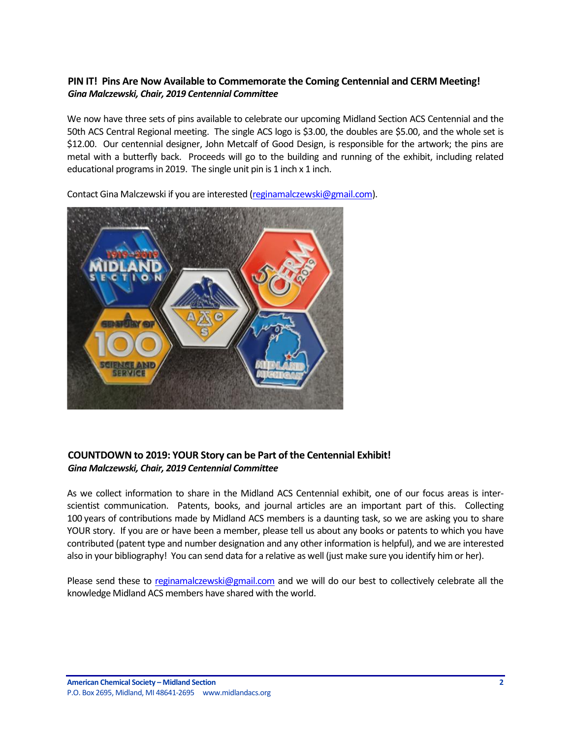## <span id="page-1-0"></span>**PIN IT! Pins Are Now Available to Commemorate the Coming Centennial and CERM Meeting!** *Gina Malczewski, Chair, 2019 Centennial Committee*

We now have three sets of pins available to celebrate our upcoming Midland Section ACS Centennial and the 50th ACS Central Regional meeting. The single ACS logo is \$3.00, the doubles are \$5.00, and the whole set is \$12.00. Our centennial designer, John Metcalf of Good Design, is responsible for the artwork; the pins are metal with a butterfly back. Proceeds will go to the building and running of the exhibit, including related educational programs in 2019. The single unit pin is 1 inch x 1 inch.



Contact Gina Malczewski if you are interested [\(reginamalczewski@gmail.com\)](mailto:reginamalczewski@gmail.com).

## <span id="page-1-1"></span>**COUNTDOWN to 2019: YOUR Story can be Part of the Centennial Exhibit!** *Gina Malczewski, Chair, 2019 Centennial Committee*

As we collect information to share in the Midland ACS Centennial exhibit, one of our focus areas is interscientist communication. Patents, books, and journal articles are an important part of this. Collecting 100 years of contributions made by Midland ACS members is a daunting task, so we are asking you to share YOUR story. If you are or have been a member, please tell us about any books or patents to which you have contributed (patent type and number designation and any other information is helpful), and we are interested also in your bibliography! You can send data for a relative as well (just make sure you identify him or her).

Please send these to [reginamalczewski@gmail.com](mailto:reginamalczewski@gmail.com) and we will do our best to collectively celebrate all the knowledge Midland ACS members have shared with the world.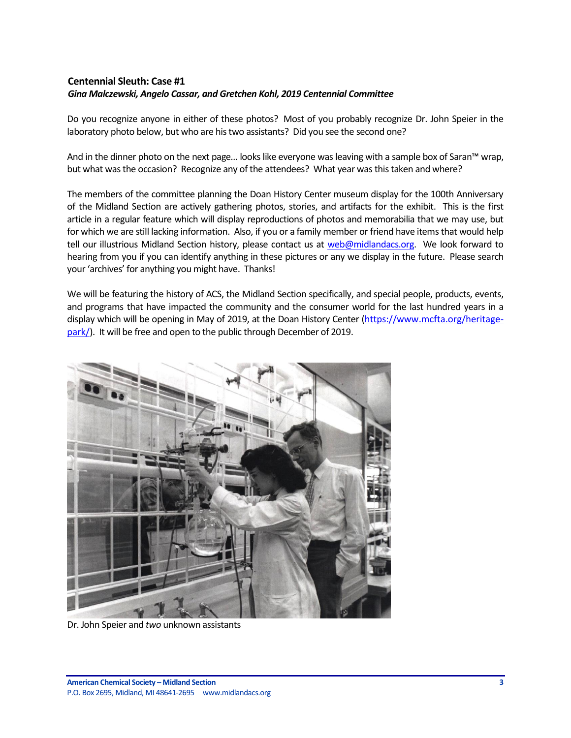## <span id="page-2-0"></span>**Centennial Sleuth: Case #1** *Gina Malczewski, Angelo Cassar, and Gretchen Kohl, 2019 Centennial Committee*

Do you recognize anyone in either of these photos? Most of you probably recognize Dr. John Speier in the laboratory photo below, but who are his two assistants? Did you see the second one?

And in the dinner photo on the next page… looks like everyone was leaving with a sample box of Saran™ wrap, but what was the occasion? Recognize any of the attendees? What year was this taken and where?

The members of the committee planning the Doan History Center museum display for the 100th Anniversary of the Midland Section are actively gathering photos, stories, and artifacts for the exhibit. This is the first article in a regular feature which will display reproductions of photos and memorabilia that we may use, but for which we are still lacking information. Also, if you or a family member or friend have items that would help tell our illustrious Midland Section history, please contact us at [web@midlandacs.org.](mailto:web@midlandacs.org) We look forward to hearing from you if you can identify anything in these pictures or any we display in the future. Please search your 'archives' for anything you might have. Thanks!

We will be featuring the history of ACS, the Midland Section specifically, and special people, products, events, and programs that have impacted the community and the consumer world for the last hundred years in a display which will be opening in May of 2019, at the Doan History Center [\(https://www.mcfta.org/heritage](https://www.mcfta.org/heritage-park/)[park/\)](https://www.mcfta.org/heritage-park/). It will be free and open to the public through December of 2019.



Dr. John Speier and *two* unknown assistants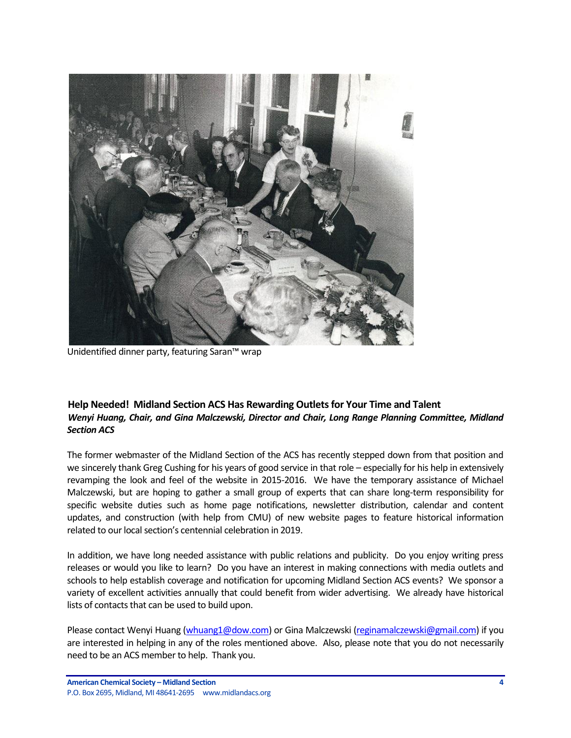

Unidentified dinner party, featuring Saran™ wrap

## <span id="page-3-0"></span>**Help Needed! Midland Section ACS Has Rewarding Outlets for Your Time and Talent** *Wenyi Huang, Chair, and Gina Malczewski, Director and Chair, Long Range Planning Committee, Midland Section ACS*

The former webmaster of the Midland Section of the ACS has recently stepped down from that position and we sincerely thank Greg Cushing for his years of good service in that role – especially for his help in extensively revamping the look and feel of the website in 2015-2016. We have the temporary assistance of Michael Malczewski, but are hoping to gather a small group of experts that can share long-term responsibility for specific website duties such as home page notifications, newsletter distribution, calendar and content updates, and construction (with help from CMU) of new website pages to feature historical information related to our local section's centennial celebration in 2019.

In addition, we have long needed assistance with public relations and publicity. Do you enjoy writing press releases or would you like to learn? Do you have an interest in making connections with media outlets and schools to help establish coverage and notification for upcoming Midland Section ACS events? We sponsor a variety of excellent activities annually that could benefit from wider advertising. We already have historical lists of contacts that can be used to build upon.

Please contact Wenyi Huang [\(whuang1@dow.com\)](mailto:whuang1@dow.com) or Gina Malczewski [\(reginamalczewski@gmail.com\)](mailto:reginamalczewski@gmail.com) if you are interested in helping in any of the roles mentioned above. Also, please note that you do not necessarily need to be an ACS member to help. Thank you.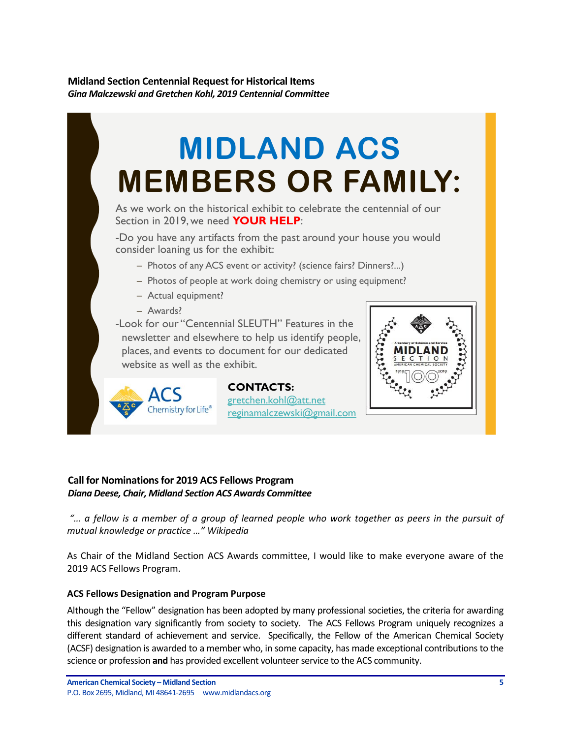## <span id="page-4-0"></span>**Midland Section Centennial Request for Historical Items**  *Gina Malczewski and Gretchen Kohl, 2019 Centennial Committee*

# **MIDLAND ACS MEMBERS OR FAMILY:**

As we work on the historical exhibit to celebrate the centennial of our Section in 2019, we need **YOUR HELP**:

-Do you have any artifacts from the past around your house you would consider loaning us for the exhibit:

- Photos of any ACS event or activity? (science fairs? Dinners?...)
- Photos of people at work doing chemistry or using equipment?
- Actual equipment?
- Awards?

-Look for our "Centennial SLEUTH" Features in the newsletter and elsewhere to help us identify people, places, and events to document for our dedicated website as well as the exhibit.



Chemistry for Life®

**CONTACTS:** gretchen.kohl@att.net reginamalczewski@gmail.com

## <span id="page-4-1"></span>**Call for Nominations for 2019 ACS Fellows Program** *Diana Deese, Chair, Midland Section ACS Awards Committee*

*"… a fellow is a member of a group of learned people who work together as peers in the pursuit of mutual knowledge or practice …" Wikipedia*

As Chair of the Midland Section ACS Awards committee, I would like to make everyone aware of the 2019 ACS Fellows Program.

## **ACS Fellows Designation and Program Purpose**

Although the "Fellow" designation has been adopted by many professional societies, the criteria for awarding this designation vary significantly from society to society. The ACS Fellows Program uniquely recognizes a different standard of achievement and service. Specifically, the Fellow of the American Chemical Society (ACSF) designation is awarded to a member who, in some capacity, has made exceptional contributions to the science or profession **and** has provided excellent volunteer service to the ACS community.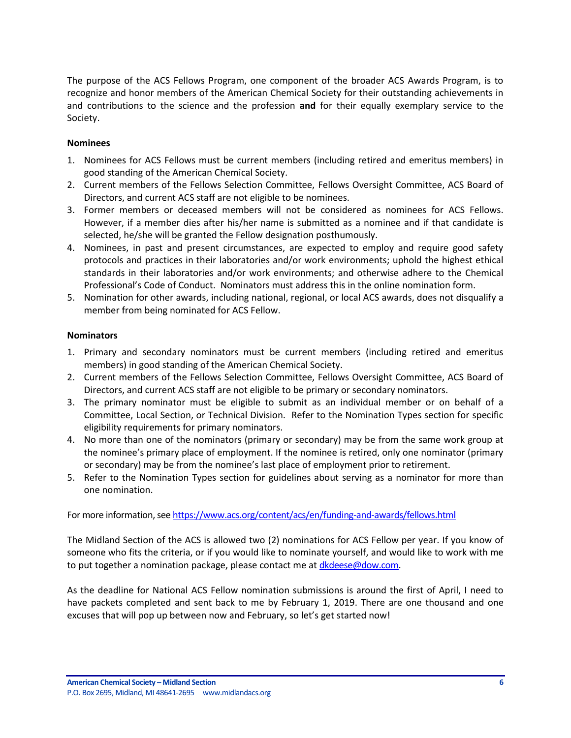The purpose of the ACS Fellows Program, one component of the broader ACS Awards Program, is to recognize and honor members of the American Chemical Society for their outstanding achievements in and contributions to the science and the profession **and** for their equally exemplary service to the Society.

#### **Nominees**

- 1. Nominees for ACS Fellows must be current members (including retired and emeritus members) in good standing of the American Chemical Society.
- 2. Current members of the Fellows Selection Committee, Fellows Oversight Committee, ACS Board of Directors, and current ACS staff are not eligible to be nominees.
- 3. Former members or deceased members will not be considered as nominees for ACS Fellows. However, if a member dies after his/her name is submitted as a nominee and if that candidate is selected, he/she will be granted the Fellow designation posthumously.
- 4. Nominees, in past and present circumstances, are expected to employ and require good safety protocols and practices in their laboratories and/or work environments; uphold the highest ethical standards in their laboratories and/or work environments; and otherwise adhere to the Chemical Professional's Code of Conduct. Nominators must address this in the online nomination form.
- 5. Nomination for other awards, including national, regional, or local ACS awards, does not disqualify a member from being nominated for ACS Fellow.

#### **Nominators**

- 1. Primary and secondary nominators must be current members (including retired and emeritus members) in good standing of the American Chemical Society.
- 2. Current members of the Fellows Selection Committee, Fellows Oversight Committee, ACS Board of Directors, and current ACS staff are not eligible to be primary or secondary nominators.
- 3. The primary nominator must be eligible to submit as an individual member or on behalf of a Committee, Local Section, or Technical Division. Refer to the Nomination Types section for specific eligibility requirements for primary nominators.
- 4. No more than one of the nominators (primary or secondary) may be from the same work group at the nominee's primary place of employment. If the nominee is retired, only one nominator (primary or secondary) may be from the nominee's last place of employment prior to retirement.
- 5. Refer to the Nomination Types section for guidelines about serving as a nominator for more than one nomination.

For more information, see <https://www.acs.org/content/acs/en/funding-and-awards/fellows.html>

The Midland Section of the ACS is allowed two (2) nominations for ACS Fellow per year. If you know of someone who fits the criteria, or if you would like to nominate yourself, and would like to work with me to put together a nomination package, please contact me a[t dkdeese@dow.com.](mailto:dkdeese@dow.com)

As the deadline for National ACS Fellow nomination submissions is around the first of April, I need to have packets completed and sent back to me by February 1, 2019. There are one thousand and one excuses that will pop up between now and February, so let's get started now!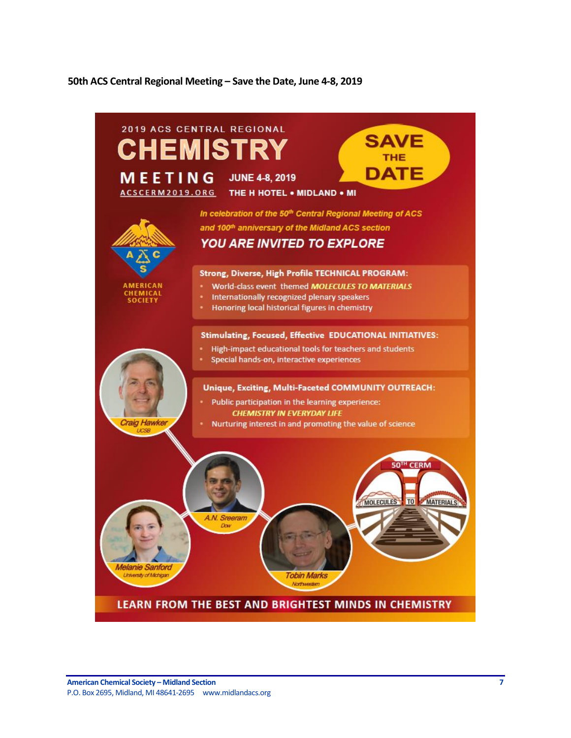#### <span id="page-6-0"></span>**50th ACS Central Regional Meeting – Save the Date, June 4-8, 2019**



**LEARN FROM THE BEST AND BRIGHTEST MINDS IN CHEMISTRY**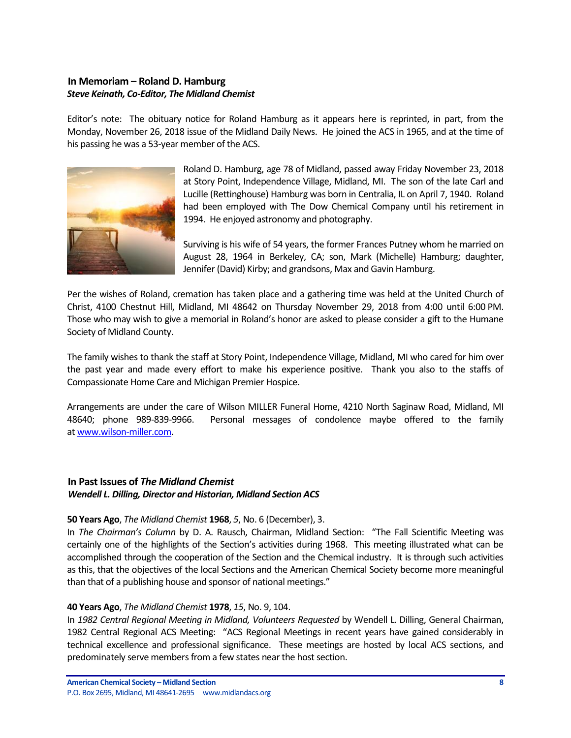## <span id="page-7-0"></span>**In Memoriam – Roland D. Hamburg** *Steve Keinath, Co-Editor, The Midland Chemist*

Editor's note: The obituary notice for Roland Hamburg as it appears here is reprinted, in part, from the Monday, November 26, 2018 issue of the Midland Daily News. He joined the ACS in 1965, and at the time of his passing he was a 53-year member of the ACS.



Roland D. Hamburg, age 78 of Midland, passed away Friday November 23, 2018 at Story Point, Independence Village, Midland, MI. The son of the late Carl and Lucille (Rettinghouse) Hamburg was born in Centralia, IL on April 7, 1940. Roland had been employed with The Dow Chemical Company until his retirement in 1994. He enjoyed astronomy and photography.

Surviving is his wife of 54 years, the former Frances Putney whom he married on August 28, 1964 in Berkeley, CA; son, Mark (Michelle) Hamburg; daughter, Jennifer (David) Kirby; and grandsons, Max and Gavin Hamburg.

Per the wishes of Roland, cremation has taken place and a gathering time was held at the United Church of Christ, 4100 Chestnut Hill, Midland, MI 48642 on Thursday November 29, 2018 from 4:00 until 6:00 PM. Those who may wish to give a memorial in Roland's honor are asked to please consider a gift to the Humane Society of Midland County.

The family wishes to thank the staff at Story Point, Independence Village, Midland, MI who cared for him over the past year and made every effort to make his experience positive. Thank you also to the staffs of Compassionate Home Care and Michigan Premier Hospice.

Arrangements are under the care of Wilson MILLER Funeral Home, 4210 North Saginaw Road, Midland, MI 48640; phone 989-839-9966. Personal messages of condolence maybe offered to the family at [www.wilson-miller.com.](http://www.wilsonmiller.com/)

## <span id="page-7-1"></span>**In Past Issues of** *The Midland Chemist Wendell L. Dilling, Director and Historian, Midland Section ACS*

#### **50 Years Ago**, *The Midland Chemist* **1968**, *5*, No. 6 (December), 3.

In *The Chairman's Column* by D. A. Rausch, Chairman, Midland Section: "The Fall Scientific Meeting was certainly one of the highlights of the Section's activities during 1968. This meeting illustrated what can be accomplished through the cooperation of the Section and the Chemical industry. It is through such activities as this, that the objectives of the local Sections and the American Chemical Society become more meaningful than that of a publishing house and sponsor of national meetings."

## **40 Years Ago**, *The Midland Chemist* **1978**, *15*, No. 9, 104.

In *1982 Central Regional Meeting in Midland, Volunteers Requested* by Wendell L. Dilling, General Chairman, 1982 Central Regional ACS Meeting: "ACS Regional Meetings in recent years have gained considerably in technical excellence and professional significance. These meetings are hosted by local ACS sections, and predominately serve members from a few states near the host section.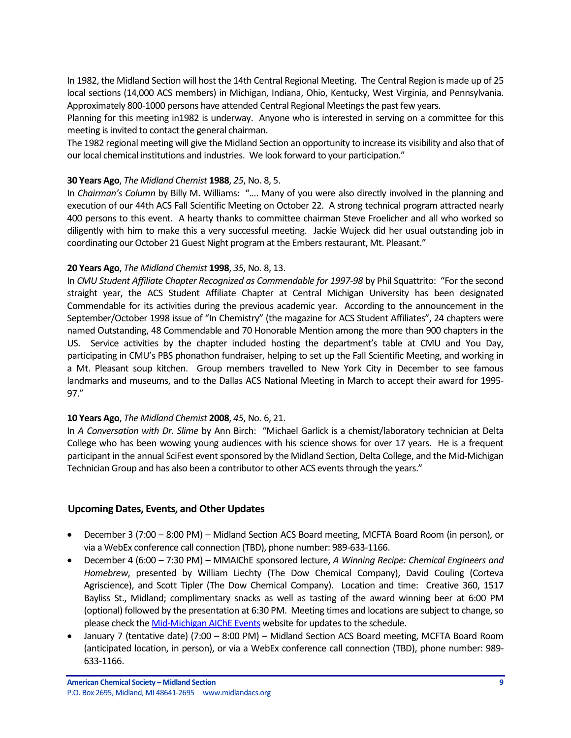In 1982, the Midland Section will host the 14th Central Regional Meeting. The Central Region is made up of 25 local sections (14,000 ACS members) in Michigan, Indiana, Ohio, Kentucky, West Virginia, and Pennsylvania. Approximately 800-1000 persons have attended Central Regional Meetings the past few years.

Planning for this meeting in1982 is underway. Anyone who is interested in serving on a committee for this meeting is invited to contact the general chairman.

The 1982 regional meeting will give the Midland Section an opportunity to increase its visibility and also that of our local chemical institutions and industries. We look forward to your participation."

#### **30 Years Ago**, *The Midland Chemist* **1988**, *25*, No. 8, 5.

In *Chairman's Column* by Billy M. Williams: "…. Many of you were also directly involved in the planning and execution of our 44th ACS Fall Scientific Meeting on October 22. A strong technical program attracted nearly 400 persons to this event. A hearty thanks to committee chairman Steve Froelicher and all who worked so diligently with him to make this a very successful meeting. Jackie Wujeck did her usual outstanding job in coordinating our October 21 Guest Night program at the Embers restaurant, Mt. Pleasant."

#### **20 Years Ago**, *The Midland Chemist* **1998**, *35*, No. 8, 13.

In *CMU Student Affiliate Chapter Recognized as Commendable for 1997-98* by Phil Squattrito: "For the second straight year, the ACS Student Affiliate Chapter at Central Michigan University has been designated Commendable for its activities during the previous academic year. According to the announcement in the September/October 1998 issue of "In Chemistry" (the magazine for ACS Student Affiliates", 24 chapters were named Outstanding, 48 Commendable and 70 Honorable Mention among the more than 900 chapters in the US. Service activities by the chapter included hosting the department's table at CMU and You Day, participating in CMU's PBS phonathon fundraiser, helping to set up the Fall Scientific Meeting, and working in a Mt. Pleasant soup kitchen. Group members travelled to New York City in December to see famous landmarks and museums, and to the Dallas ACS National Meeting in March to accept their award for 1995- 97."

#### **10 Years Ago**, *The Midland Chemist* **2008**, *45*, No. 6, 21.

In *A Conversation with Dr. Slime* by Ann Birch: "Michael Garlick is a chemist/laboratory technician at Delta College who has been wowing young audiences with his science shows for over 17 years. He is a frequent participant in the annual SciFest event sponsored by the Midland Section, Delta College, and the Mid-Michigan Technician Group and has also been a contributor to other ACS events through the years."

#### <span id="page-8-0"></span>**Upcoming Dates, Events, and Other Updates**

- December 3 (7:00 8:00 PM) Midland Section ACS Board meeting, MCFTA Board Room (in person), or via a WebEx conference call connection (TBD), phone number: 989-633-1166.
- December 4 (6:00 7:30 PM) MMAIChE sponsored lecture, *A Winning Recipe: Chemical Engineers and Homebrew*, presented by William Liechty (The Dow Chemical Company), David Couling (Corteva Agriscience), and Scott Tipler (The Dow Chemical Company). Location and time: Creative 360, 1517 Bayliss St., Midland; complimentary snacks as well as tasting of the award winning beer at 6:00 PM (optional) followed by the presentation at 6:30 PM. Meeting times and locations are subject to change, so please check th[e Mid-Michigan AIChE Events](https://www.aiche.org/community/sites/local-sections/mid-michigan/events) website for updates to the schedule.
- January 7 (tentative date) (7:00 8:00 PM) Midland Section ACS Board meeting, MCFTA Board Room (anticipated location, in person), or via a WebEx conference call connection (TBD), phone number: 989- 633-1166.